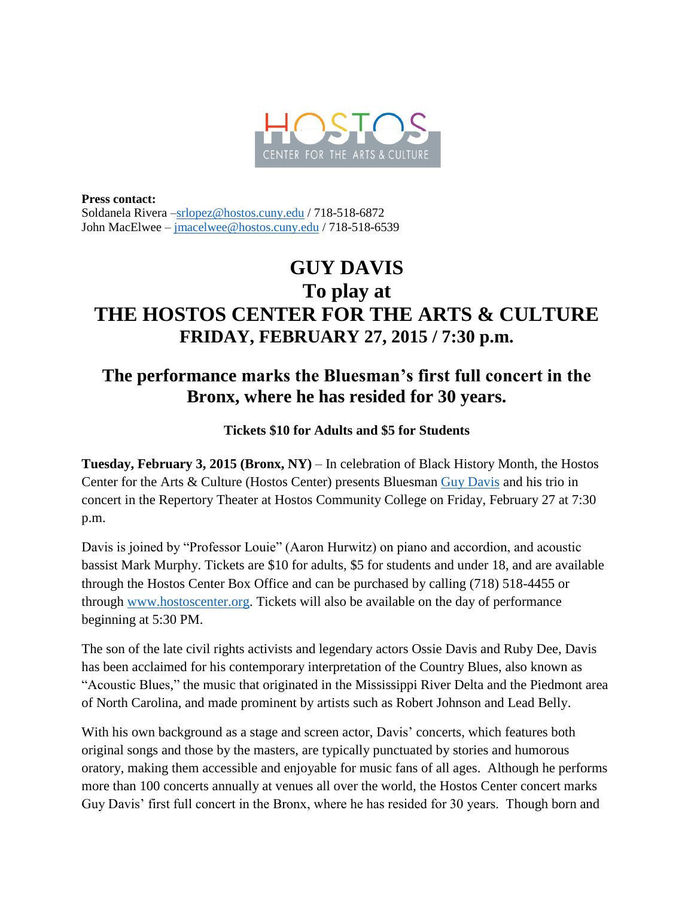

**Press contact:** Soldanela Rivera [–srlopez@hostos.cuny.edu](mailto:srlopez@hostos.cuny.edu) / 718-518-6872 John MacElwee – [jmacelwee@hostos.cuny.edu](mailto:jmacelwee@hostos.cuny.edu) / 718-518-6539

## **GUY DAVIS To play at THE HOSTOS CENTER FOR THE ARTS & CULTURE FRIDAY, FEBRUARY 27, 2015 / 7:30 p.m.**

## **The performance marks the Bluesman's first full concert in the Bronx, where he has resided for 30 years.**

**Tickets \$10 for Adults and \$5 for Students**

**Tuesday, February 3, 2015 (Bronx, NY)** – In celebration of Black History Month, the Hostos Center for the Arts & Culture (Hostos Center) presents Bluesman [Guy Davis](http://guydavis.com/guydavis/mainfinal.htm) and his trio in concert in the Repertory Theater at Hostos Community College on Friday, February 27 at 7:30 p.m.

Davis is joined by "Professor Louie" (Aaron Hurwitz) on piano and accordion, and acoustic bassist Mark Murphy. Tickets are \$10 for adults, \$5 for students and under 18, and are available through the Hostos Center Box Office and can be purchased by calling (718) 518-4455 or through [www.hostoscenter.org.](http://www.hostoscenter.org/) Tickets will also be available on the day of performance beginning at 5:30 PM.

The son of the late civil rights activists and legendary actors Ossie Davis and Ruby Dee, Davis has been acclaimed for his contemporary interpretation of the Country Blues, also known as "Acoustic Blues," the music that originated in the Mississippi River Delta and the Piedmont area of North Carolina, and made prominent by artists such as Robert Johnson and Lead Belly.

With his own background as a stage and screen actor, Davis' concerts, which features both original songs and those by the masters, are typically punctuated by stories and humorous oratory, making them accessible and enjoyable for music fans of all ages. Although he performs more than 100 concerts annually at venues all over the world, the Hostos Center concert marks Guy Davis' first full concert in the Bronx, where he has resided for 30 years. Though born and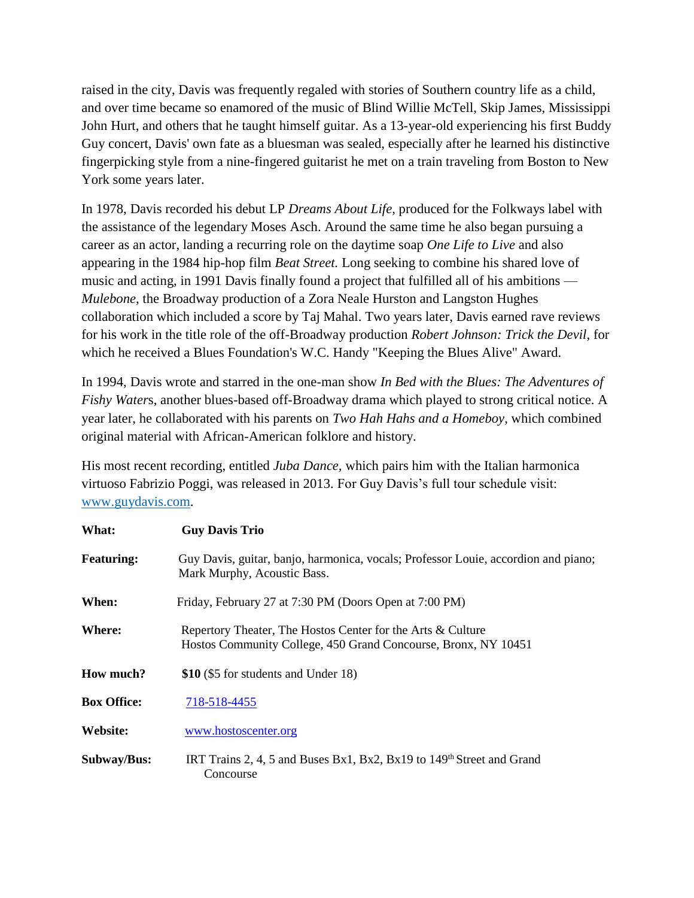raised in the city, Davis was frequently regaled with stories of Southern country life as a child, and over time became so enamored of the music of Blind Willie McTell, Skip James, Mississippi John Hurt, and others that he taught himself guitar. As a 13-year-old experiencing his first Buddy Guy concert, Davis' own fate as a bluesman was sealed, especially after he learned his distinctive fingerpicking style from a nine-fingered guitarist he met on a train traveling from Boston to New York some years later.

In 1978, Davis recorded his debut LP *Dreams About Life*, produced for the Folkways label with the assistance of the legendary Moses Asch. Around the same time he also began pursuing a career as an actor, landing a recurring role on the daytime soap *One Life to Live* and also appearing in the 1984 hip-hop film *Beat Street.* Long seeking to combine his shared love of music and acting, in 1991 Davis finally found a project that fulfilled all of his ambitions — *Mulebone,* the Broadway production of a Zora Neale Hurston and Langston Hughes collaboration which included a score by Taj Mahal. Two years later, Davis earned rave reviews for his work in the title role of the off-Broadway production *Robert Johnson: Trick the Devil*, for which he received a Blues Foundation's W.C. Handy "Keeping the Blues Alive" Award.

In 1994, Davis wrote and starred in the one-man show *In Bed with the Blues: The Adventures of Fishy Water*s, another blues-based off-Broadway drama which played to strong critical notice. A year later, he collaborated with his parents on *Two Hah Hahs and a Homeboy*, which combined original material with African-American folklore and history.

His most recent recording, entitled *Juba Dance,* which pairs him with the Italian harmonica virtuoso Fabrizio Poggi, was released in 2013. For Guy Davis's full tour schedule visit: [www.guydavis.com.](http://www.guydavis.com/)

| What:              | <b>Guy Davis Trio</b>                                                                                                         |
|--------------------|-------------------------------------------------------------------------------------------------------------------------------|
| <b>Featuring:</b>  | Guy Davis, guitar, banjo, harmonica, vocals; Professor Louie, accordion and piano;<br>Mark Murphy, Acoustic Bass.             |
| When:              | Friday, February 27 at 7:30 PM (Doors Open at 7:00 PM)                                                                        |
| Where:             | Repertory Theater, The Hostos Center for the Arts & Culture<br>Hostos Community College, 450 Grand Concourse, Bronx, NY 10451 |
| How much?          | \$10 (\$5 for students and Under 18)                                                                                          |
| <b>Box Office:</b> | 718-518-4455                                                                                                                  |
| Website:           | www.hostoscenter.org                                                                                                          |
| <b>Subway/Bus:</b> | IRT Trains 2, 4, 5 and Buses Bx1, Bx2, Bx19 to 149 <sup>th</sup> Street and Grand<br>Concourse                                |